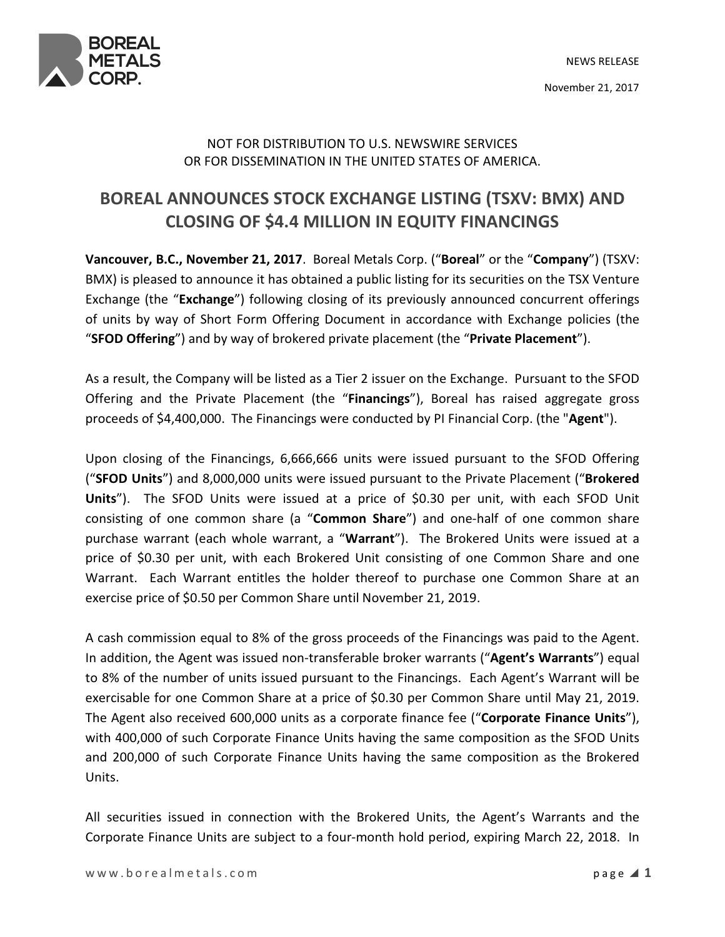



## NOT FOR DISTRIBUTION TO U.S. NEWSWIRE SERVICES OR FOR DISSEMINATION IN THE UNITED STATES OF AMERICA.

## BOREAL ANNOUNCES STOCK EXCHANGE LISTING (TSXV: BMX) AND CLOSING OF \$4.4 MILLION IN EQUITY FINANCINGS

Vancouver, B.C., November 21, 2017. Boreal Metals Corp. ("Boreal" or the "Company") (TSXV: BMX) is pleased to announce it has obtained a public listing for its securities on the TSX Venture Exchange (the "Exchange") following closing of its previously announced concurrent offerings of units by way of Short Form Offering Document in accordance with Exchange policies (the "SFOD Offering") and by way of brokered private placement (the "Private Placement").

As a result, the Company will be listed as a Tier 2 issuer on the Exchange. Pursuant to the SFOD Offering and the Private Placement (the "Financings"), Boreal has raised aggregate gross proceeds of \$4,400,000. The Financings were conducted by PI Financial Corp. (the "Agent").

Upon closing of the Financings, 6,666,666 units were issued pursuant to the SFOD Offering ("SFOD Units") and 8,000,000 units were issued pursuant to the Private Placement ("Brokered Units"). The SFOD Units were issued at a price of \$0.30 per unit, with each SFOD Unit consisting of one common share (a "Common Share") and one-half of one common share purchase warrant (each whole warrant, a "Warrant"). The Brokered Units were issued at a price of \$0.30 per unit, with each Brokered Unit consisting of one Common Share and one Warrant. Each Warrant entitles the holder thereof to purchase one Common Share at an exercise price of \$0.50 per Common Share until November 21, 2019.

A cash commission equal to 8% of the gross proceeds of the Financings was paid to the Agent. In addition, the Agent was issued non-transferable broker warrants ("Agent's Warrants") equal to 8% of the number of units issued pursuant to the Financings. Each Agent's Warrant will be exercisable for one Common Share at a price of \$0.30 per Common Share until May 21, 2019. The Agent also received 600,000 units as a corporate finance fee ("Corporate Finance Units"), with 400,000 of such Corporate Finance Units having the same composition as the SFOD Units and 200,000 of such Corporate Finance Units having the same composition as the Brokered Units.

All securities issued in connection with the Brokered Units, the Agent's Warrants and the Corporate Finance Units are subject to a four-month hold period, expiring March 22, 2018. In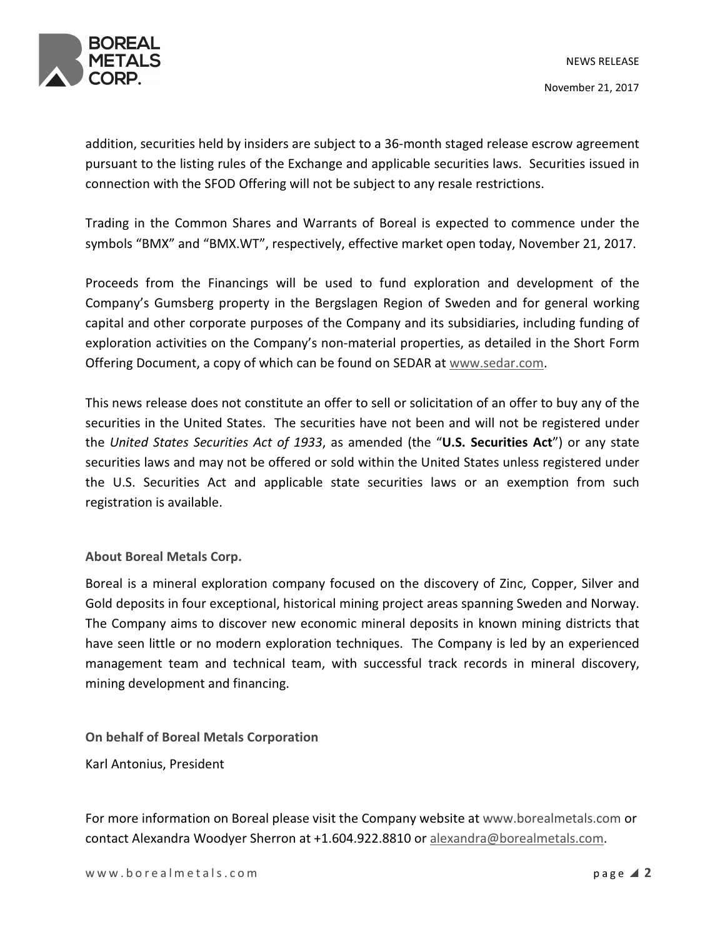

addition, securities held by insiders are subject to a 36-month staged release escrow agreement pursuant to the listing rules of the Exchange and applicable securities laws. Securities issued in connection with the SFOD Offering will not be subject to any resale restrictions.

Trading in the Common Shares and Warrants of Boreal is expected to commence under the symbols "BMX" and "BMX.WT", respectively, effective market open today, November 21, 2017.

Proceeds from the Financings will be used to fund exploration and development of the Company's Gumsberg property in the Bergslagen Region of Sweden and for general working capital and other corporate purposes of the Company and its subsidiaries, including funding of exploration activities on the Company's non-material properties, as detailed in the Short Form Offering Document, a copy of which can be found on SEDAR at www.sedar.com.

This news release does not constitute an offer to sell or solicitation of an offer to buy any of the securities in the United States. The securities have not been and will not be registered under the United States Securities Act of 1933, as amended (the "U.S. Securities Act") or any state securities laws and may not be offered or sold within the United States unless registered under the U.S. Securities Act and applicable state securities laws or an exemption from such registration is available.

About Boreal Metals Corp.

Boreal is a mineral exploration company focused on the discovery of Zinc, Copper, Silver and Gold deposits in four exceptional, historical mining project areas spanning Sweden and Norway. The Company aims to discover new economic mineral deposits in known mining districts that have seen little or no modern exploration techniques. The Company is led by an experienced management team and technical team, with successful track records in mineral discovery, mining development and financing.

On behalf of Boreal Metals Corporation

Karl Antonius, President

For more information on Boreal please visit the Company website at www.borealmetals.com or contact Alexandra Woodyer Sherron at +1.604.922.8810 or alexandra@borealmetals.com.